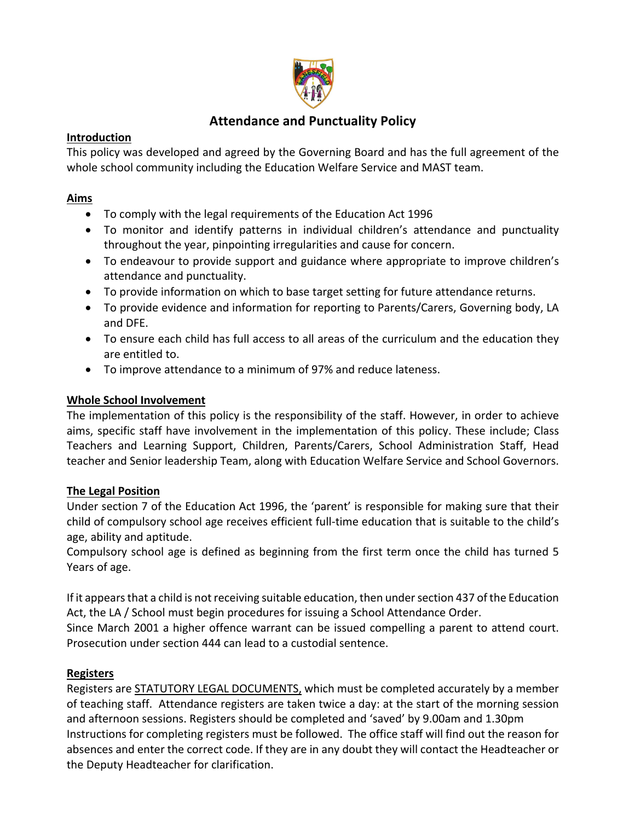

# **Attendance and Punctuality Policy**

### **Introduction**

This policy was developed and agreed by the Governing Board and has the full agreement of the whole school community including the Education Welfare Service and MAST team.

### **Aims**

- To comply with the legal requirements of the Education Act 1996
- To monitor and identify patterns in individual children's attendance and punctuality throughout the year, pinpointing irregularities and cause for concern.
- To endeavour to provide support and guidance where appropriate to improve children's attendance and punctuality.
- To provide information on which to base target setting for future attendance returns.
- To provide evidence and information for reporting to Parents/Carers, Governing body, LA and DFE.
- To ensure each child has full access to all areas of the curriculum and the education they are entitled to.
- To improve attendance to a minimum of 97% and reduce lateness.

### **Whole School Involvement**

The implementation of this policy is the responsibility of the staff. However, in order to achieve aims, specific staff have involvement in the implementation of this policy. These include; Class Teachers and Learning Support, Children, Parents/Carers, School Administration Staff, Head teacher and Senior leadership Team, along with Education Welfare Service and School Governors.

## **The Legal Position**

Under section 7 of the Education Act 1996, the 'parent' is responsible for making sure that their child of compulsory school age receives efficient full-time education that is suitable to the child's age, ability and aptitude.

Compulsory school age is defined as beginning from the first term once the child has turned 5 Years of age.

If it appears that a child is not receiving suitable education, then under section 437 of the Education Act, the LA / School must begin procedures for issuing a School Attendance Order.

Since March 2001 a higher offence warrant can be issued compelling a parent to attend court. Prosecution under section 444 can lead to a custodial sentence.

## **Registers**

Registers are STATUTORY LEGAL DOCUMENTS, which must be completed accurately by a member of teaching staff. Attendance registers are taken twice a day: at the start of the morning session and afternoon sessions. Registers should be completed and 'saved' by 9.00am and 1.30pm Instructions for completing registers must be followed. The office staff will find out the reason for absences and enter the correct code. If they are in any doubt they will contact the Headteacher or the Deputy Headteacher for clarification.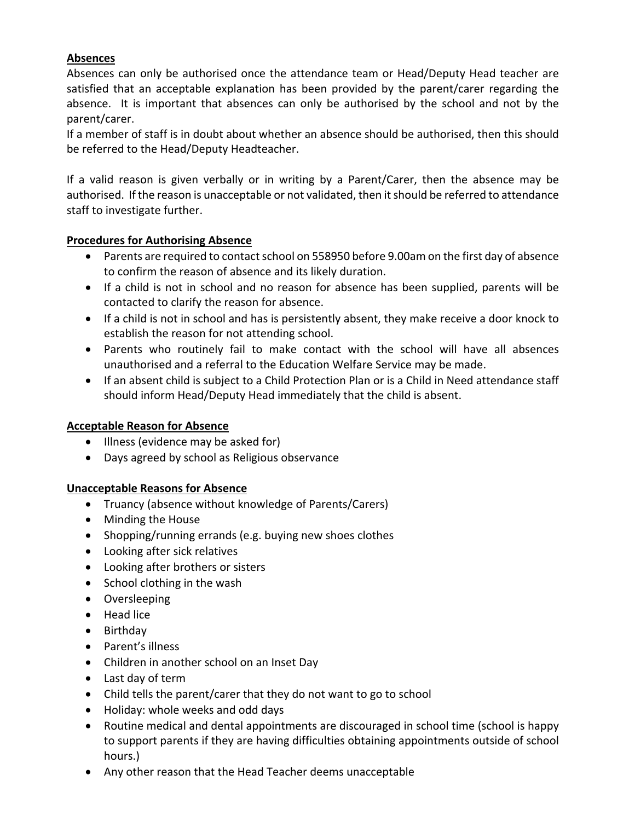### **Absences**

Absences can only be authorised once the attendance team or Head/Deputy Head teacher are satisfied that an acceptable explanation has been provided by the parent/carer regarding the absence. It is important that absences can only be authorised by the school and not by the parent/carer.

If a member of staff is in doubt about whether an absence should be authorised, then this should be referred to the Head/Deputy Headteacher.

If a valid reason is given verbally or in writing by a Parent/Carer, then the absence may be authorised. If the reason is unacceptable or not validated, then it should be referred to attendance staff to investigate further.

### **Procedures for Authorising Absence**

- Parents are required to contact school on 558950 before 9.00am on the first day of absence to confirm the reason of absence and its likely duration.
- If a child is not in school and no reason for absence has been supplied, parents will be contacted to clarify the reason for absence.
- If a child is not in school and has is persistently absent, they make receive a door knock to establish the reason for not attending school.
- Parents who routinely fail to make contact with the school will have all absences unauthorised and a referral to the Education Welfare Service may be made.
- If an absent child is subject to a Child Protection Plan or is a Child in Need attendance staff should inform Head/Deputy Head immediately that the child is absent.

### **Acceptable Reason for Absence**

- Illness (evidence may be asked for)
- Days agreed by school as Religious observance

### **Unacceptable Reasons for Absence**

- Truancy (absence without knowledge of Parents/Carers)
- Minding the House
- Shopping/running errands (e.g. buying new shoes clothes
- Looking after sick relatives
- Looking after brothers or sisters
- School clothing in the wash
- Oversleeping
- Head lice
- Birthday
- Parent's illness
- Children in another school on an Inset Day
- Last day of term
- Child tells the parent/carer that they do not want to go to school
- Holiday: whole weeks and odd days
- Routine medical and dental appointments are discouraged in school time (school is happy to support parents if they are having difficulties obtaining appointments outside of school hours.)
- Any other reason that the Head Teacher deems unacceptable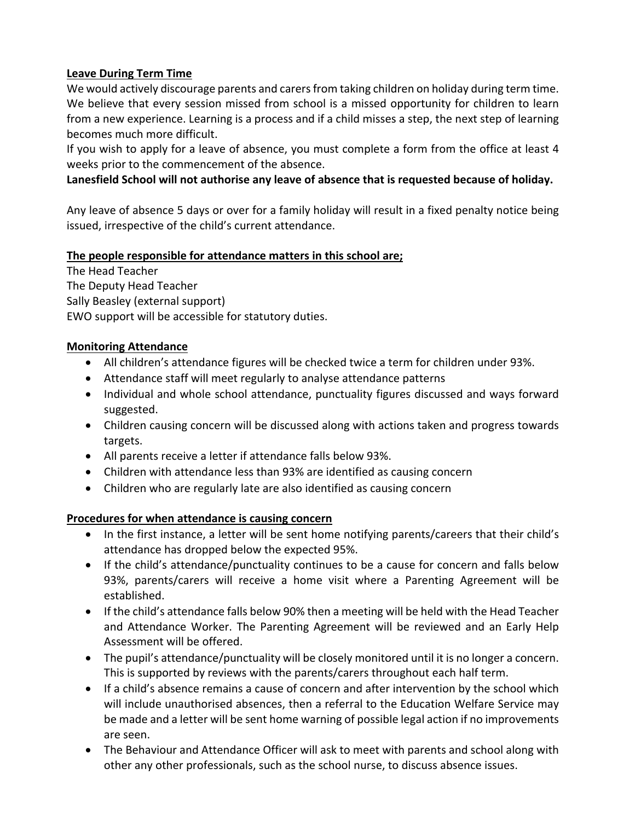### **Leave During Term Time**

We would actively discourage parents and carers from taking children on holiday during term time. We believe that every session missed from school is a missed opportunity for children to learn from a new experience. Learning is a process and if a child misses a step, the next step of learning becomes much more difficult.

If you wish to apply for a leave of absence, you must complete a form from the office at least 4 weeks prior to the commencement of the absence.

**Lanesfield School will not authorise any leave of absence that is requested because of holiday.**

Any leave of absence 5 days or over for a family holiday will result in a fixed penalty notice being issued, irrespective of the child's current attendance.

### **The people responsible for attendance matters in this school are;**

The Head Teacher The Deputy Head Teacher Sally Beasley (external support) EWO support will be accessible for statutory duties.

### **Monitoring Attendance**

- All children's attendance figures will be checked twice a term for children under 93%.
- Attendance staff will meet regularly to analyse attendance patterns
- Individual and whole school attendance, punctuality figures discussed and ways forward suggested.
- Children causing concern will be discussed along with actions taken and progress towards targets.
- All parents receive a letter if attendance falls below 93%.
- Children with attendance less than 93% are identified as causing concern
- Children who are regularly late are also identified as causing concern

### **Procedures for when attendance is causing concern**

- In the first instance, a letter will be sent home notifying parents/careers that their child's attendance has dropped below the expected 95%.
- If the child's attendance/punctuality continues to be a cause for concern and falls below 93%, parents/carers will receive a home visit where a Parenting Agreement will be established.
- If the child's attendance falls below 90% then a meeting will be held with the Head Teacher and Attendance Worker. The Parenting Agreement will be reviewed and an Early Help Assessment will be offered.
- The pupil's attendance/punctuality will be closely monitored until it is no longer a concern. This is supported by reviews with the parents/carers throughout each half term.
- If a child's absence remains a cause of concern and after intervention by the school which will include unauthorised absences, then a referral to the Education Welfare Service may be made and a letter will be sent home warning of possible legal action if no improvements are seen.
- The Behaviour and Attendance Officer will ask to meet with parents and school along with other any other professionals, such as the school nurse, to discuss absence issues.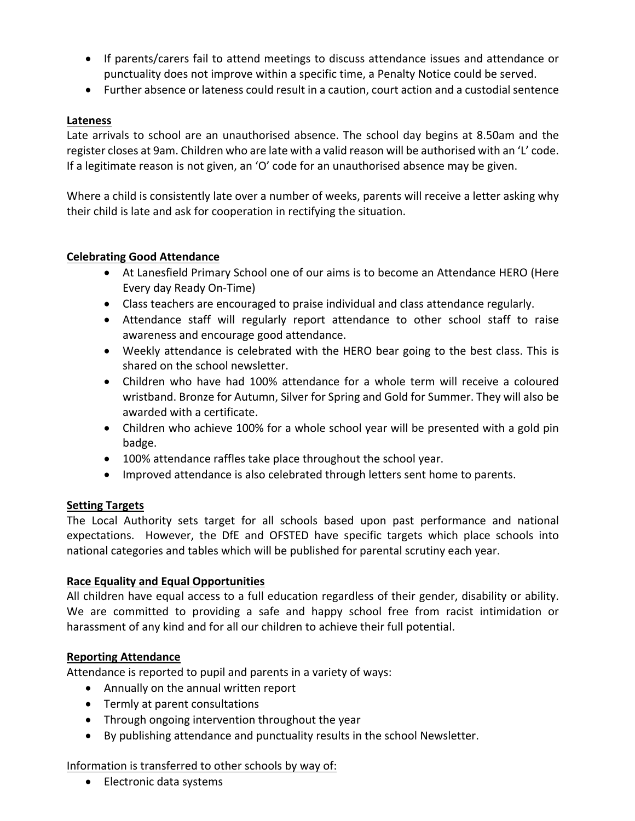- If parents/carers fail to attend meetings to discuss attendance issues and attendance or punctuality does not improve within a specific time, a Penalty Notice could be served.
- Further absence or lateness could result in a caution, court action and a custodial sentence

#### **Lateness**

Late arrivals to school are an unauthorised absence. The school day begins at 8.50am and the register closes at 9am. Children who are late with a valid reason will be authorised with an 'L' code. If a legitimate reason is not given, an 'O' code for an unauthorised absence may be given.

Where a child is consistently late over a number of weeks, parents will receive a letter asking why their child is late and ask for cooperation in rectifying the situation.

#### **Celebrating Good Attendance**

- At Lanesfield Primary School one of our aims is to become an Attendance HERO (Here Every day Ready On-Time)
- Class teachers are encouraged to praise individual and class attendance regularly.
- Attendance staff will regularly report attendance to other school staff to raise awareness and encourage good attendance.
- Weekly attendance is celebrated with the HERO bear going to the best class. This is shared on the school newsletter.
- Children who have had 100% attendance for a whole term will receive a coloured wristband. Bronze for Autumn, Silver for Spring and Gold for Summer. They will also be awarded with a certificate.
- Children who achieve 100% for a whole school year will be presented with a gold pin badge.
- 100% attendance raffles take place throughout the school year.
- Improved attendance is also celebrated through letters sent home to parents.

### **Setting Targets**

The Local Authority sets target for all schools based upon past performance and national expectations. However, the DfE and OFSTED have specific targets which place schools into national categories and tables which will be published for parental scrutiny each year.

#### **Race Equality and Equal Opportunities**

All children have equal access to a full education regardless of their gender, disability or ability. We are committed to providing a safe and happy school free from racist intimidation or harassment of any kind and for all our children to achieve their full potential.

### **Reporting Attendance**

Attendance is reported to pupil and parents in a variety of ways:

- Annually on the annual written report
- Termly at parent consultations
- Through ongoing intervention throughout the year
- By publishing attendance and punctuality results in the school Newsletter.

#### Information is transferred to other schools by way of:

• Electronic data systems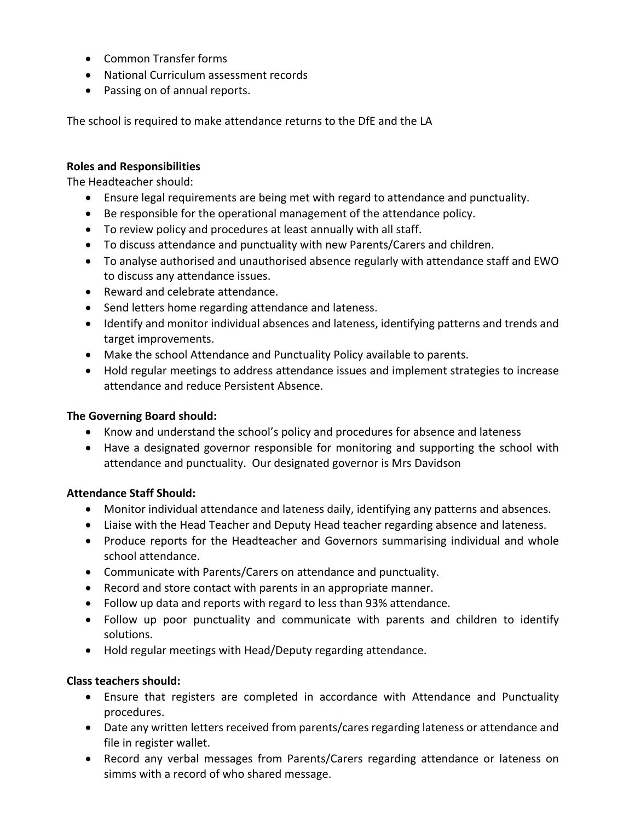- Common Transfer forms
- National Curriculum assessment records
- Passing on of annual reports.

The school is required to make attendance returns to the DfE and the LA

#### **Roles and Responsibilities**

The Headteacher should:

- Ensure legal requirements are being met with regard to attendance and punctuality.
- Be responsible for the operational management of the attendance policy.
- To review policy and procedures at least annually with all staff.
- To discuss attendance and punctuality with new Parents/Carers and children.
- To analyse authorised and unauthorised absence regularly with attendance staff and EWO to discuss any attendance issues.
- Reward and celebrate attendance.
- Send letters home regarding attendance and lateness.
- Identify and monitor individual absences and lateness, identifying patterns and trends and target improvements.
- Make the school Attendance and Punctuality Policy available to parents.
- Hold regular meetings to address attendance issues and implement strategies to increase attendance and reduce Persistent Absence.

### **The Governing Board should:**

- Know and understand the school's policy and procedures for absence and lateness
- Have a designated governor responsible for monitoring and supporting the school with attendance and punctuality. Our designated governor is Mrs Davidson

### **Attendance Staff Should:**

- Monitor individual attendance and lateness daily, identifying any patterns and absences.
- Liaise with the Head Teacher and Deputy Head teacher regarding absence and lateness.
- Produce reports for the Headteacher and Governors summarising individual and whole school attendance.
- Communicate with Parents/Carers on attendance and punctuality.
- Record and store contact with parents in an appropriate manner.
- Follow up data and reports with regard to less than 93% attendance.
- Follow up poor punctuality and communicate with parents and children to identify solutions.
- Hold regular meetings with Head/Deputy regarding attendance.

### **Class teachers should:**

- Ensure that registers are completed in accordance with Attendance and Punctuality procedures.
- Date any written letters received from parents/cares regarding lateness or attendance and file in register wallet.
- Record any verbal messages from Parents/Carers regarding attendance or lateness on simms with a record of who shared message.